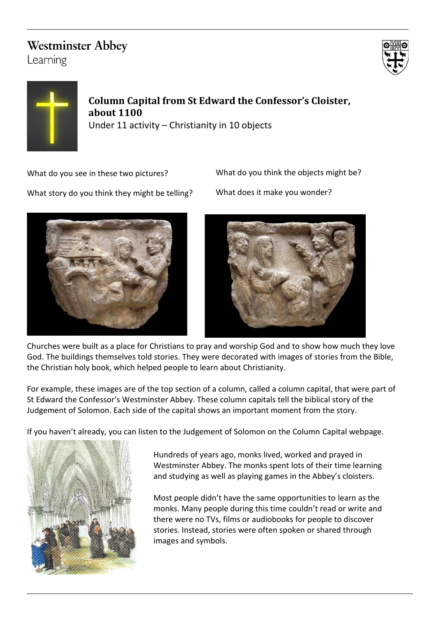## **Westminster Abbey**

Learning





**Column Capital from St Edward the Confessor's Cloister, about 1100** Under 11 activity – Christianity in 10 objects

What do you see in these two pictures?

What do you think the objects might be?

What does it make you wonder?

What story do you think they might be telling?





Churches were built as a place for Christians to pray and worship God and to show how much they love God. The buildings themselves told stories. They were decorated with images of stories from the Bible, the Christian holy book, which helped people to learn about Christianity.

For example, these images are of the top section of a column, called a column capital, that were part of St Edward the Confessor's Westminster Abbey. These column capitals tell the biblical story of the Judgement of Solomon. Each side of the capital shows an important moment from the story.

If you haven't already, you can listen to the Judgement of Solomon on the Column Capital webpage.



Hundreds of years ago, monks lived, worked and prayed in Westminster Abbey. The monks spent lots of their time learning and studying as well as playing games in the Abbey's cloisters.

Most people didn't have the same opportunities to learn as the monks. Many people during this time couldn't read or write and there were no TVs, films or audiobooks for people to discover stories. Instead, stories were often spoken or shared through images and symbols.